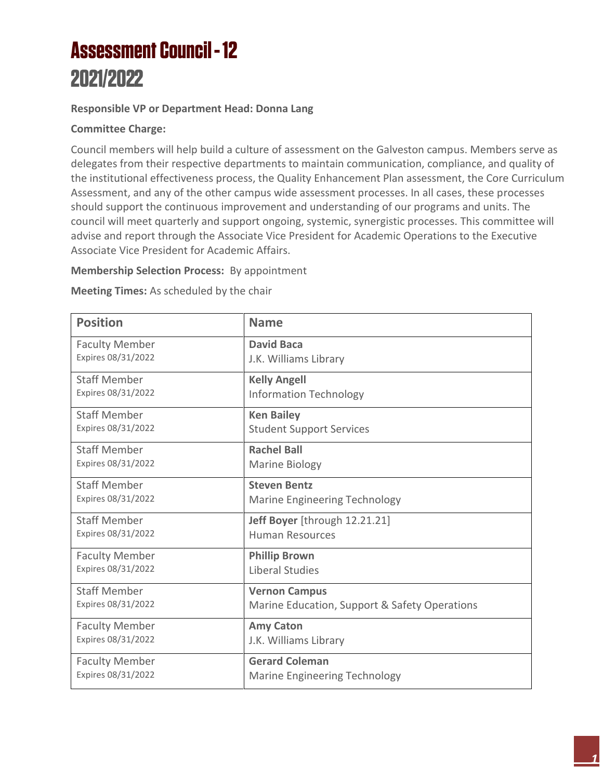### **Assessment Council - 12** 2021/2022

#### **Responsible VP or Department Head: Donna Lang**

#### **Committee Charge:**

Council members will help build a culture of assessment on the Galveston campus. Members serve as delegates from their respective departments to maintain communication, compliance, and quality of the institutional effectiveness process, the Quality Enhancement Plan assessment, the Core Curriculum Assessment, and any of the other campus wide assessment processes. In all cases, these processes should support the continuous improvement and understanding of our programs and units. The council will meet quarterly and support ongoing, systemic, synergistic processes. This committee will advise and report through the Associate Vice President for Academic Operations to the Executive Associate Vice President for Academic Affairs.

#### **Membership Selection Process:** By appointment

**Meeting Times:** As scheduled by the chair

| <b>Position</b>       | <b>Name</b>                                   |
|-----------------------|-----------------------------------------------|
| <b>Faculty Member</b> | <b>David Baca</b>                             |
| Expires 08/31/2022    | J.K. Williams Library                         |
| <b>Staff Member</b>   | <b>Kelly Angell</b>                           |
| Expires 08/31/2022    | <b>Information Technology</b>                 |
| <b>Staff Member</b>   | <b>Ken Bailey</b>                             |
| Expires 08/31/2022    | <b>Student Support Services</b>               |
| <b>Staff Member</b>   | <b>Rachel Ball</b>                            |
| Expires 08/31/2022    | Marine Biology                                |
| <b>Staff Member</b>   | <b>Steven Bentz</b>                           |
| Expires 08/31/2022    | Marine Engineering Technology                 |
| <b>Staff Member</b>   | Jeff Boyer [through 12.21.21]                 |
| Expires 08/31/2022    | <b>Human Resources</b>                        |
| <b>Faculty Member</b> | <b>Phillip Brown</b>                          |
| Expires 08/31/2022    | <b>Liberal Studies</b>                        |
| <b>Staff Member</b>   | <b>Vernon Campus</b>                          |
| Expires 08/31/2022    | Marine Education, Support & Safety Operations |
| <b>Faculty Member</b> | <b>Amy Caton</b>                              |
| Expires 08/31/2022    | J.K. Williams Library                         |
| <b>Faculty Member</b> | <b>Gerard Coleman</b>                         |
| Expires 08/31/2022    | <b>Marine Engineering Technology</b>          |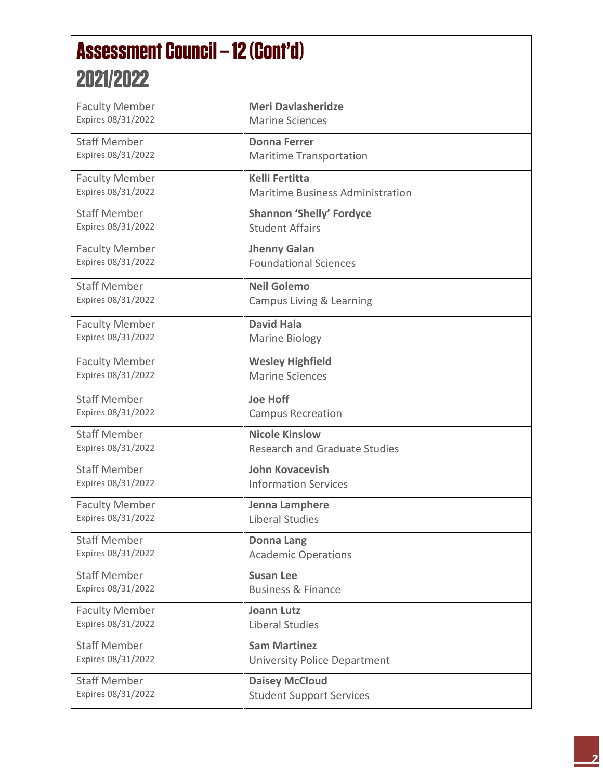# **Assessment Council - 12 (Cont'd)** 2021/2022

| <b>Faculty Member</b> | <b>Meri Davlasheridze</b>            |
|-----------------------|--------------------------------------|
| Expires 08/31/2022    | <b>Marine Sciences</b>               |
|                       |                                      |
| <b>Staff Member</b>   | <b>Donna Ferrer</b>                  |
| Expires 08/31/2022    | <b>Maritime Transportation</b>       |
|                       |                                      |
| <b>Faculty Member</b> | <b>Kelli Fertitta</b>                |
| Expires 08/31/2022    | Maritime Business Administration     |
|                       |                                      |
| <b>Staff Member</b>   | <b>Shannon 'Shelly' Fordyce</b>      |
| Expires 08/31/2022    | <b>Student Affairs</b>               |
| <b>Faculty Member</b> | <b>Jhenny Galan</b>                  |
| Expires 08/31/2022    | <b>Foundational Sciences</b>         |
|                       |                                      |
| <b>Staff Member</b>   | <b>Neil Golemo</b>                   |
| Expires 08/31/2022    | Campus Living & Learning             |
|                       |                                      |
| <b>Faculty Member</b> | <b>David Hala</b>                    |
| Expires 08/31/2022    | <b>Marine Biology</b>                |
|                       |                                      |
| <b>Faculty Member</b> | <b>Wesley Highfield</b>              |
| Expires 08/31/2022    | <b>Marine Sciences</b>               |
|                       |                                      |
| <b>Staff Member</b>   | <b>Joe Hoff</b>                      |
| Expires 08/31/2022    | <b>Campus Recreation</b>             |
|                       |                                      |
| <b>Staff Member</b>   | <b>Nicole Kinslow</b>                |
| Expires 08/31/2022    | <b>Research and Graduate Studies</b> |
| <b>Staff Member</b>   | <b>John Kovacevish</b>               |
| Expires 08/31/2022    | <b>Information Services</b>          |
|                       |                                      |
| <b>Faculty Member</b> | Jenna Lamphere                       |
| Expires 08/31/2022    | <b>Liberal Studies</b>               |
| <b>Staff Member</b>   |                                      |
| Expires 08/31/2022    | <b>Donna Lang</b>                    |
|                       | <b>Academic Operations</b>           |
| <b>Staff Member</b>   | <b>Susan Lee</b>                     |
| Expires 08/31/2022    | <b>Business &amp; Finance</b>        |
|                       |                                      |
| <b>Faculty Member</b> | <b>Joann Lutz</b>                    |
| Expires 08/31/2022    | Liberal Studies                      |
|                       |                                      |
| <b>Staff Member</b>   | <b>Sam Martinez</b>                  |
| Expires 08/31/2022    | <b>University Police Department</b>  |
| <b>Staff Member</b>   | <b>Daisey McCloud</b>                |
| Expires 08/31/2022    | <b>Student Support Services</b>      |
|                       |                                      |
|                       |                                      |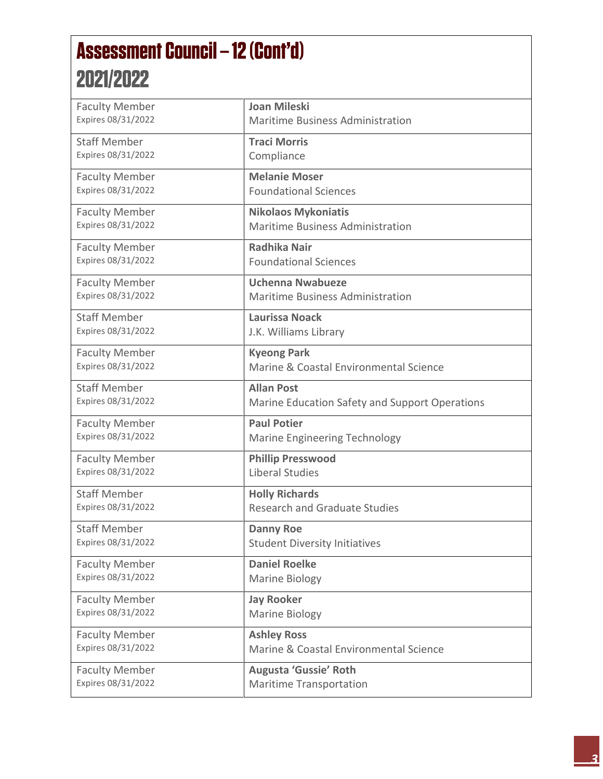## **Assessment Council - 12 (Cont'd)** 2021/2022

| <b>Faculty Member</b>                       | <b>Joan Mileski</b>                                           |
|---------------------------------------------|---------------------------------------------------------------|
| Expires 08/31/2022                          | <b>Maritime Business Administration</b>                       |
| <b>Staff Member</b>                         | <b>Traci Morris</b>                                           |
| Expires 08/31/2022                          | Compliance                                                    |
|                                             | <b>Melanie Moser</b>                                          |
| <b>Faculty Member</b><br>Expires 08/31/2022 | <b>Foundational Sciences</b>                                  |
|                                             |                                                               |
| <b>Faculty Member</b>                       | <b>Nikolaos Mykoniatis</b>                                    |
| Expires 08/31/2022                          | <b>Maritime Business Administration</b>                       |
| <b>Faculty Member</b>                       | <b>Radhika Nair</b>                                           |
| Expires 08/31/2022                          | <b>Foundational Sciences</b>                                  |
| <b>Faculty Member</b>                       | <b>Uchenna Nwabueze</b>                                       |
| Expires 08/31/2022                          | <b>Maritime Business Administration</b>                       |
|                                             |                                                               |
| <b>Staff Member</b>                         | <b>Laurissa Noack</b>                                         |
| Expires 08/31/2022                          | J.K. Williams Library                                         |
| <b>Faculty Member</b>                       | <b>Kyeong Park</b>                                            |
| Expires 08/31/2022                          | Marine & Coastal Environmental Science                        |
| <b>Staff Member</b>                         | <b>Allan Post</b>                                             |
| Expires 08/31/2022                          | Marine Education Safety and Support Operations                |
| <b>Faculty Member</b>                       | <b>Paul Potier</b>                                            |
| Expires 08/31/2022                          | Marine Engineering Technology                                 |
| <b>Faculty Member</b>                       | <b>Phillip Presswood</b>                                      |
| Expires 08/31/2022                          | <b>Liberal Studies</b>                                        |
| <b>Staff Member</b>                         |                                                               |
| Expires 08/31/2022                          | <b>Holly Richards</b><br><b>Research and Graduate Studies</b> |
|                                             |                                                               |
| <b>Staff Member</b>                         | <b>Danny Roe</b>                                              |
| Expires 08/31/2022                          | <b>Student Diversity Initiatives</b>                          |
| <b>Faculty Member</b>                       | <b>Daniel Roelke</b>                                          |
| Expires 08/31/2022                          | Marine Biology                                                |
| <b>Faculty Member</b>                       | <b>Jay Rooker</b>                                             |
| Expires 08/31/2022                          | Marine Biology                                                |
| <b>Faculty Member</b>                       | <b>Ashley Ross</b>                                            |
| Expires 08/31/2022                          | Marine & Coastal Environmental Science                        |
|                                             |                                                               |
| <b>Faculty Member</b><br>Expires 08/31/2022 | Augusta 'Gussie' Roth                                         |
|                                             | <b>Maritime Transportation</b>                                |